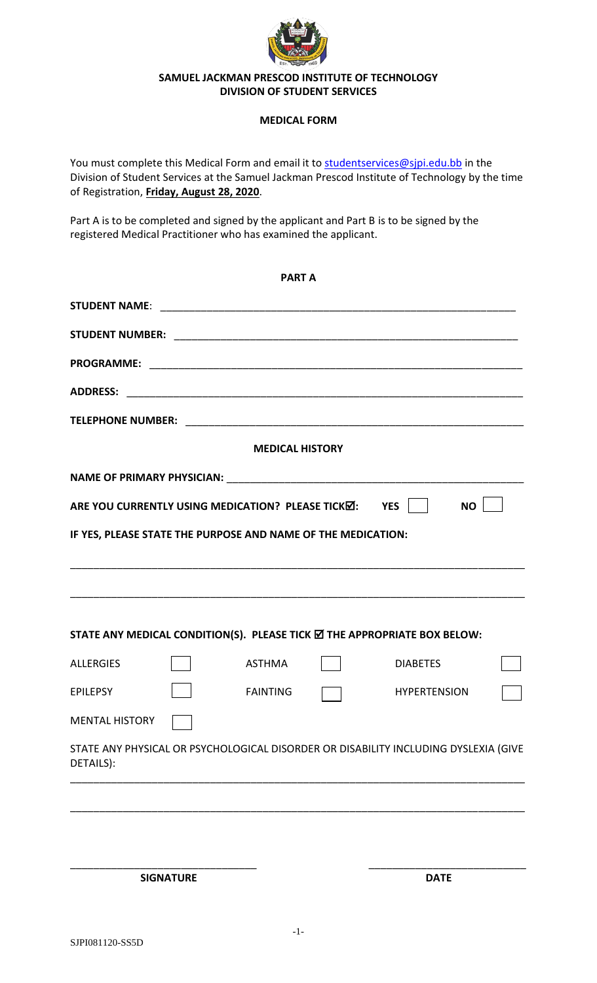

## **SAMUEL JACKMAN PRESCOD INSTITUTE OF TECHNOLOGY DIVISION OF STUDENT SERVICES**

## **MEDICAL FORM**

You must complete this Medical Form and email it to [studentservices@sjpi.edu.bb](mailto:studentservices@sjpi.edu.bb) in the Division of Student Services at the Samuel Jackman Prescod Institute of Technology by the time of Registration, **Friday, August 28, 2020**.

Part A is to be completed and signed by the applicant and Part B is to be signed by the registered Medical Practitioner who has examined the applicant.

|                       |  | <b>PART A</b>                                                |                                                                                     |  |
|-----------------------|--|--------------------------------------------------------------|-------------------------------------------------------------------------------------|--|
|                       |  |                                                              |                                                                                     |  |
|                       |  |                                                              |                                                                                     |  |
|                       |  |                                                              |                                                                                     |  |
|                       |  |                                                              |                                                                                     |  |
|                       |  |                                                              |                                                                                     |  |
|                       |  | <b>MEDICAL HISTORY</b>                                       |                                                                                     |  |
|                       |  |                                                              |                                                                                     |  |
|                       |  | ARE YOU CURRENTLY USING MEDICATION? PLEASE TICKM: YES        | <b>NO</b>                                                                           |  |
|                       |  | IF YES, PLEASE STATE THE PURPOSE AND NAME OF THE MEDICATION: |                                                                                     |  |
|                       |  |                                                              |                                                                                     |  |
|                       |  |                                                              |                                                                                     |  |
|                       |  |                                                              |                                                                                     |  |
|                       |  |                                                              | STATE ANY MEDICAL CONDITION(S). PLEASE TICK Ø THE APPROPRIATE BOX BELOW:            |  |
| <b>ALLERGIES</b>      |  | <b>ASTHMA</b>                                                | <b>DIABETES</b>                                                                     |  |
| <b>EPILEPSY</b>       |  | <b>FAINTING</b>                                              | <b>HYPERTENSION</b>                                                                 |  |
| <b>MENTAL HISTORY</b> |  |                                                              |                                                                                     |  |
| DETAILS):             |  |                                                              | STATE ANY PHYSICAL OR PSYCHOLOGICAL DISORDER OR DISABILITY INCLUDING DYSLEXIA (GIVE |  |
|                       |  |                                                              |                                                                                     |  |
|                       |  |                                                              |                                                                                     |  |
|                       |  |                                                              |                                                                                     |  |
| <b>SIGNATURE</b>      |  |                                                              | <b>DATE</b>                                                                         |  |